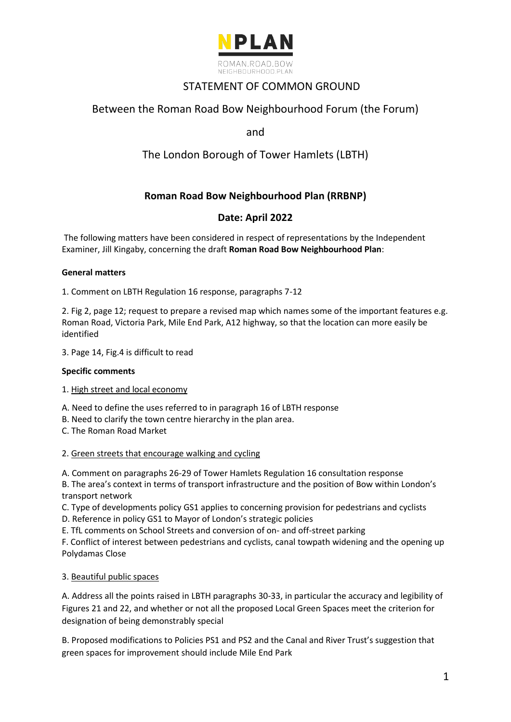

# STATEMENT OF COMMON GROUND

# Between the Roman Road Bow Neighbourhood Forum (the Forum)

and

# The London Borough of Tower Hamlets (LBTH)

# **Roman Road Bow Neighbourhood Plan (RRBNP)**

## **Date: April 2022**

The following matters have been considered in respect of representations by the Independent Examiner, Jill Kingaby, concerning the draft **Roman Road Bow Neighbourhood Plan**:

## **General matters**

1. Comment on LBTH Regulation 16 response, paragraphs 7-12

2. Fig 2, page 12; request to prepare a revised map which names some of the important features e.g. Roman Road, Victoria Park, Mile End Park, A12 highway, so that the location can more easily be identified

3. Page 14, Fig.4 is difficult to read

## **Specific comments**

## 1. High street and local economy

A. Need to define the uses referred to in paragraph 16 of LBTH response

B. Need to clarify the town centre hierarchy in the plan area.

C. The Roman Road Market

### 2. Green streets that encourage walking and cycling

A. Comment on paragraphs 26-29 of Tower Hamlets Regulation 16 consultation response

B. The area's context in terms of transport infrastructure and the position of Bow within London's transport network

C. Type of developments policy GS1 applies to concerning provision for pedestrians and cyclists

D. Reference in policy GS1 to Mayor of London's strategic policies

E. TfL comments on School Streets and conversion of on- and off-street parking

F. Conflict of interest between pedestrians and cyclists, canal towpath widening and the opening up Polydamas Close

## 3. Beautiful public spaces

A. Address all the points raised in LBTH paragraphs 30-33, in particular the accuracy and legibility of Figures 21 and 22, and whether or not all the proposed Local Green Spaces meet the criterion for designation of being demonstrably special

B. Proposed modifications to Policies PS1 and PS2 and the Canal and River Trust's suggestion that green spaces for improvement should include Mile End Park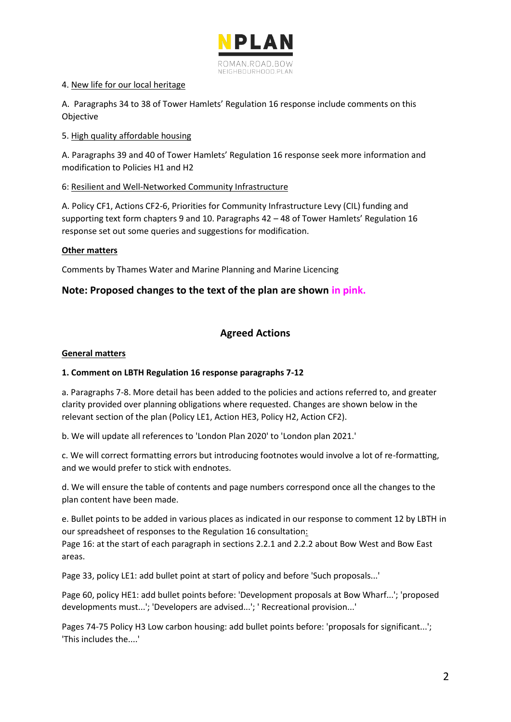

## 4. New life for our local heritage

A. Paragraphs 34 to 38 of Tower Hamlets' Regulation 16 response include comments on this Objective

## 5. High quality affordable housing

A. Paragraphs 39 and 40 of Tower Hamlets' Regulation 16 response seek more information and modification to Policies H1 and H2

## 6: Resilient and Well-Networked Community Infrastructure

A. Policy CF1, Actions CF2-6, Priorities for Community Infrastructure Levy (CIL) funding and supporting text form chapters 9 and 10. Paragraphs 42 – 48 of Tower Hamlets' Regulation 16 response set out some queries and suggestions for modification.

## **Other matters**

Comments by Thames Water and Marine Planning and Marine Licencing

## **Note: Proposed changes to the text of the plan are shown in pink.**

## **Agreed Actions**

## **General matters**

## **1. Comment on LBTH Regulation 16 response paragraphs 7-12**

a. Paragraphs 7-8. More detail has been added to the policies and actions referred to, and greater clarity provided over planning obligations where requested. Changes are shown below in the relevant section of the plan (Policy LE1, Action HE3, Policy H2, Action CF2).

b. We will update all references to 'London Plan 2020' to 'London plan 2021.'

c. We will correct formatting errors but introducing footnotes would involve a lot of re-formatting, and we would prefer to stick with endnotes.

d. We will ensure the table of contents and page numbers correspond once all the changes to the plan content have been made.

e. Bullet points to be added in various places as indicated in our response to comment 12 by LBTH in our spreadsheet of responses to the Regulation 16 consultation:

Page 16: at the start of each paragraph in sections 2.2.1 and 2.2.2 about Bow West and Bow East areas.

Page 33, policy LE1: add bullet point at start of policy and before 'Such proposals...'

Page 60, policy HE1: add bullet points before: 'Development proposals at Bow Wharf...'; 'proposed developments must...'; 'Developers are advised...'; ' Recreational provision...'

Pages 74-75 Policy H3 Low carbon housing: add bullet points before: 'proposals for significant...'; 'This includes the....'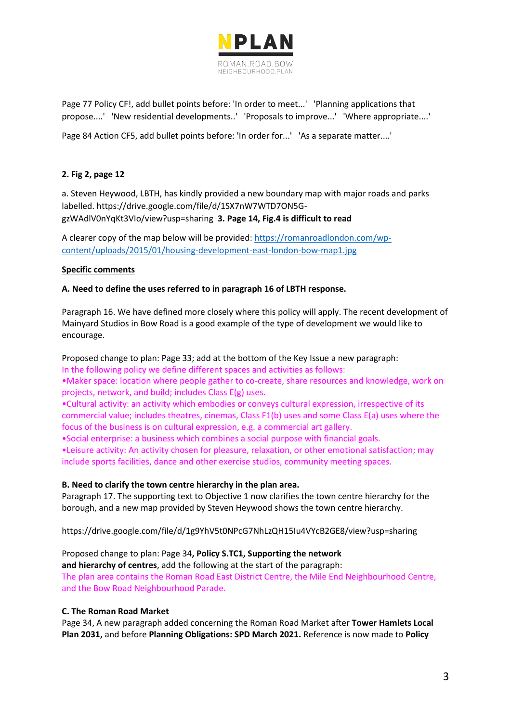

Page 77 Policy CF!, add bullet points before: 'In order to meet...' 'Planning applications that propose....' 'New residential developments..' 'Proposals to improve...' 'Where appropriate....'

Page 84 Action CF5, add bullet points before: 'In order for...' 'As a separate matter....'

## **2. Fig 2, page 12**

a. Steven Heywood, LBTH, has kindly provided a new boundary map with major roads and parks labelled. https://drive.google.com/file/d/1SX7nW7WTD7ON5GgzWAdlV0nYqKt3VIo/view?usp=sharing **3. Page 14, Fig.4 is difficult to read**

A clearer copy of the map below will be provided[: https://romanroadlondon.com/wp](https://romanroadlondon.com/wp-content/uploads/2015/01/housing-development-east-london-bow-map1.jpg)[content/uploads/2015/01/housing-development-east-london-bow-map1.jpg](https://romanroadlondon.com/wp-content/uploads/2015/01/housing-development-east-london-bow-map1.jpg)

### **Specific comments**

### **A. Need to define the uses referred to in paragraph 16 of LBTH response.**

Paragraph 16. We have defined more closely where this policy will apply. The recent development of Mainyard Studios in Bow Road is a good example of the type of development we would like to encourage.

Proposed change to plan: Page 33; add at the bottom of the Key Issue a new paragraph: In the following policy we define different spaces and activities as follows: •Maker space: location where people gather to co-create, share resources and knowledge, work on projects, network, and build; includes Class E(g) uses. •Cultural activity: an activity which embodies or conveys cultural expression, irrespective of its

commercial value; includes theatres, cinemas, Class F1(b) uses and some Class E(a) uses where the focus of the business is on cultural expression, e.g. a commercial art gallery.

•Social enterprise: a business which combines a social purpose with financial goals. •Leisure activity: An activity chosen for pleasure, relaxation, or other emotional satisfaction; may include sports facilities, dance and other exercise studios, community meeting spaces.

### **B. Need to clarify the town centre hierarchy in the plan area.**

Paragraph 17. The supporting text to Objective 1 now clarifies the town centre hierarchy for the borough, and a new map provided by Steven Heywood shows the town centre hierarchy.

https://drive.google.com/file/d/1g9YhV5t0NPcG7NhLzQH15Iu4VYcB2GE8/view?usp=sharing

Proposed change to plan: Page 34**, Policy S.TC1, Supporting the network and hierarchy of centres**, add the following at the start of the paragraph: The plan area contains the Roman Road East District Centre, the Mile End Neighbourhood Centre, and the Bow Road Neighbourhood Parade.

### **C. The Roman Road Market**

Page 34, A new paragraph added concerning the Roman Road Market after **Tower Hamlets Local Plan 2031,** and before **Planning Obligations: SPD March 2021.** Reference is now made to **Policy**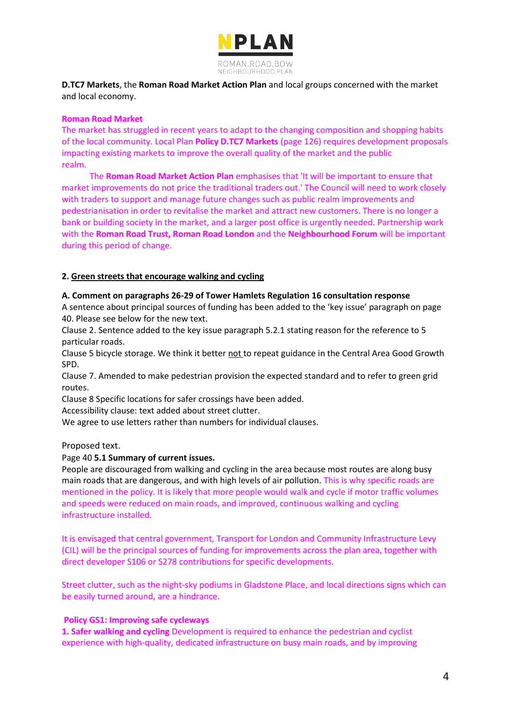

**D.TC7 Markets**, the **Roman Road Market Action Plan** and local groups concerned with the market and local economy.

#### **Roman Road Market**

The market has struggled in recent years to adapt to the changing composition and shopping habits of the local community. Local Plan **Policy D.TC7 Markets** (page 126) requires development proposals impacting existing markets to improve the overall quality of the market and the public realm. The contract of the contract of the contract of the contract of the contract of the contract of the contract of the contract of the contract of the contract of the contract of the contract of the contract of the con

 The **Roman Road Market Action Plan** emphasises that 'It will be important to ensure that market improvements do not price the traditional traders out.' The Council will need to work closely with traders to support and manage future changes such as public realm improvements and pedestrianisation in order to revitalise the market and attract new customers. There is no longer a bank or building society in the market, and a larger post office is urgently needed. Partnership work with the **Roman Road Trust, Roman Road London** and the **Neighbourhood Forum** will be important during this period of change.

### **2. Green streets that encourage walking and cycling**

#### **A. Comment on paragraphs 26-29 of Tower Hamlets Regulation 16 consultation response**

A sentence about principal sources of funding has been added to the 'key issue' paragraph on page 40. Please see below for the new text.

Clause 2. Sentence added to the key issue paragraph 5.2.1 stating reason for the reference to 5 particular roads.

Clause 5 bicycle storage. We think it better not to repeat guidance in the Central Area Good Growth SPD.

Clause 7. Amended to make pedestrian provision the expected standard and to refer to green grid routes.

Clause 8 Specific locations for safer crossings have been added.

Accessibility clause: text added about street clutter.

We agree to use letters rather than numbers for individual clauses.

### Proposed text.

### Page 40 **5.1 Summary of current issues.**

People are discouraged from walking and cycling in the area because most routes are along busy main roads that are dangerous, and with high levels of air pollution. This is why specific roads are mentioned in the policy. It is likely that more people would walk and cycle if motor traffic volumes and speeds were reduced on main roads, and improved, continuous walking and cycling infrastructure installed.

It is envisaged that central government, Transport for London and Community Infrastructure Levy (CIL) will be the principal sources of funding for improvements across the plan area, together with direct developer S106 or S278 contributions for specific developments.

Street clutter, such as the night-sky podiums in Gladstone Place, and local directions signs which can be easily turned around, are a hindrance.

#### **Policy GS1: Improving safe cycleways**

**1. Safer walking and cycling** Development is required to enhance the pedestrian and cyclist experience with high-quality, dedicated infrastructure on busy main roads, and by improving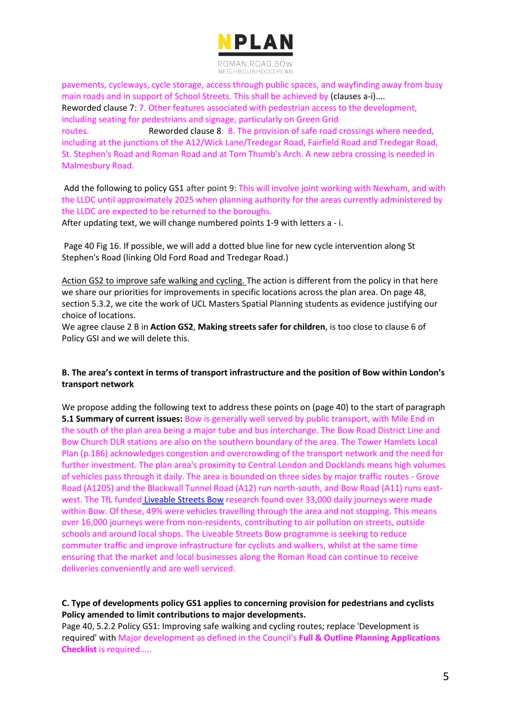

pavements, cycleways, cycle storage, access through public spaces, and wayfinding away from busy main roads and in support of School Streets. This shall be achieved by (clauses a-i).... Reworded clause 7: 7. Other features associated with pedestrian access to the development, including seating for pedestrians and signage, particularly on Green Grid routes. Reworded clause 8: 8. The provision of safe road crossings where needed, including at the junctions of the A12/Wick Lane/Tredegar Road, Fairfield Road and Tredegar Road, St. Stephen's Road and Roman Road and at Tom Thumb's Arch. A new zebra crossing is needed in Malmesbury Road.

Add the following to policy GS1 after point 9: This will involve joint working with Newham, and with the LLDC until approximately 2025 when planning authority for the areas currently administered by the LLDC are expected to be returned to the boroughs.

After updating text, we will change numbered points 1-9 with letters a - i.

Page 40 Fig 16. If possible, we will add a dotted blue line for new cycle intervention along St Stephen's Road (linking Old Ford Road and Tredegar Road.)

Action GS2 to improve safe walking and cycling. The action is different from the policy in that here we share our priorities for improvements in specific locations across the plan area. On page 48, section 5.3.2, we cite the work of UCL Masters Spatial Planning students as evidence justifying our choice of locations.

We agree clause 2 B in **Action GS2**, **Making streets safer for children**, is too close to clause 6 of Policy GSI and we will delete this.

## **B. The area's context in terms of transport infrastructure and the position of Bow within London's transport network**

We propose adding the following text to address these points on (page 40) to the start of paragraph **5.1 Summary of current issues:** Bow is generally well served by public transport, with Mile End in the south of the plan area being a major tube and bus interchange. The Bow Road District Line and Bow Church DLR stations are also on the southern boundary of the area. The Tower Hamlets Local Plan (p.186) acknowledges congestion and overcrowding of the transport network and the need for further investment. The plan area's proximity to Central London and Docklands means high volumes of vehicles pass through it daily. The area is bounded on three sides by major traffic routes - Grove Road (A1205) and the Blackwall Tunnel Road (A12) run north-south, and Bow Road (A11) runs eastwest. The TfL funded [Liveable Streets Bow](https://talk.towerhamlets.gov.uk/lsbow/widgets/13981/faqs#question4092) research found over 33,000 daily journeys were made within Bow. Of these, 49% were vehicles travelling through the area and not stopping. This means over 16,000 journeys were from non-residents, contributing to air pollution on streets, outside schools and around local shops. The Liveable Streets Bow programme is seeking to reduce commuter traffic and improve infrastructure for cyclists and walkers, whilst at the same time ensuring that the market and local businesses along the Roman Road can continue to receive deliveries conveniently and are well serviced.

## **C. Type of developments policy GS1 applies to concerning provision for pedestrians and cyclists Policy amended to limit contributions to major developments.**

Page 40, 5.2.2 Policy GS1: Improving safe walking and cycling routes; replace 'Development is required' wit[h](https://www.towerhamlets.gov.uk/Documents/Planning-and-building-control/Development-control/Application-processing/Full-Outline-Planning-Feb-2021-updated.pdf) [Major development](https://www.towerhamlets.gov.uk/Documents/Planning-and-building-control/Development-control/Application-processing/Full-Outline-Planning-Feb-2021-updated.pdf) as defined in the Council's **Full & Outline Planning Applications Checklist** is required.....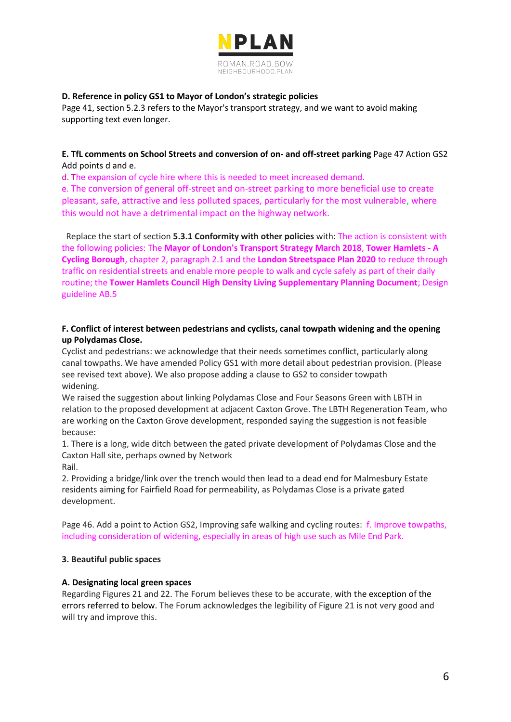

## **D. Reference in policy GS1 to Mayor of London's strategic policies**

Page 41, section 5.2.3 refers to the Mayor's transport strategy, and we want to avoid making supporting text even longer.

## **E. TfL comments on School Streets and conversion of on- and off-street parking** Page 47 Action GS2 Add points d and e.

d. The expansion of cycle hire where this is needed to meet increased demand.

e. The conversion of general off-street and on-street parking to more beneficial use to create pleasant, safe, attractive and less polluted spaces, particularly for the most vulnerable, where this would not have a detrimental impact on the highway network.

 Replace the start of section **5.3.1 Conformity with other policies** with: The action is consistent with the following policies: The **Mayor of London's Transport Strategy March 2018**, **Tower Hamlets - A Cycling Borough**, chapter 2, paragraph 2.1 and the **London Streetspace Plan 2020** to reduce through traffic on residential streets and enable more people to walk and cycle safely as part of their daily routine; the **Tower Hamlets Council High Density Living Supplementary Planning Document**; Design guideline AB.5

## **F. Conflict of interest between pedestrians and cyclists, canal towpath widening and the opening up Polydamas Close.**

Cyclist and pedestrians: we acknowledge that their needs sometimes conflict, particularly along canal towpaths. We have amended Policy GS1 with more detail about pedestrian provision. (Please see revised text above). We also propose adding a clause to GS2 to consider towpath widening. The contract of the contract of the contract of the contract of the contract of the contract of the contract of the contract of the contract of the contract of the contract of the contract of the contract of the

We raised the suggestion about linking Polydamas Close and Four Seasons Green with LBTH in relation to the proposed development at adjacent Caxton Grove. The LBTH Regeneration Team, who are working on the Caxton Grove development, responded saying the suggestion is not feasible because:

1. There is a long, wide ditch between the gated private development of Polydamas Close and the Caxton Hall site, perhaps owned by Network Rail.

2. Providing a bridge/link over the trench would then lead to a dead end for Malmesbury Estate residents aiming for Fairfield Road for permeability, as Polydamas Close is a private gated development.

Page 46. Add a point to Action GS2, Improving safe walking and cycling routes: f. Improve towpaths, including consideration of widening, especially in areas of high use such as Mile End Park.

## **3. Beautiful public spaces**

## **A. Designating local green spaces**

Regarding Figures 21 and 22. The Forum believes these to be accurate, with the exception of the errors referred to below. The Forum acknowledges the legibility of Figure 21 is not very good and will try and improve this.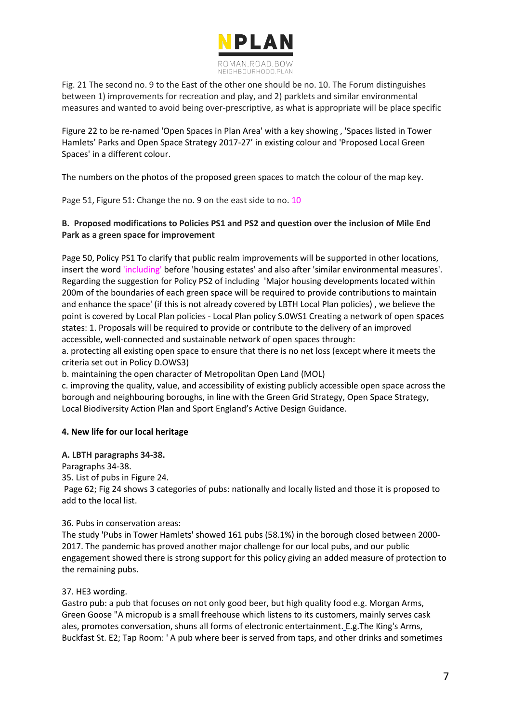

Fig. 21 The second no. 9 to the East of the other one should be no. 10. The Forum distinguishes between 1) improvements for recreation and play, and 2) parklets and similar environmental measures and wanted to avoid being over-prescriptive, as what is appropriate will be place specific

Figure 22 to be re-named 'Open Spaces in Plan Area' with a key showing , 'Spaces listed in Tower Hamlets' Parks and Open Space Strategy 2017-27' in existing colour and 'Proposed Local Green Spaces' in a different colour.

The numbers on the photos of the proposed green spaces to match the colour of the map key.

Page 51, Figure 51: Change the no. 9 on the east side to no. 10

## **B. Proposed modifications to Policies PS1 and PS2 and question over the inclusion of Mile End Park as a green space for improvement**

Page 50, Policy PS1 To clarify that public realm improvements will be supported in other locations, insert the word 'including' before 'housing estates' and also after 'similar environmental measures'. Regarding the suggestion for Policy PS2 of including 'Major housing developments located within 200m of the boundaries of each green space will be required to provide contributions to maintain and enhance the space' (if this is not already covered by LBTH Local Plan policies) , we believe the point is covered by Local Plan policies - Local Plan policy S.0WS1 Creating a network of open spaces states: 1. Proposals will be required to provide or contribute to the delivery of an improved accessible, well-connected and sustainable network of open spaces through:

a. protecting all existing open space to ensure that there is no net loss (except where it meets the criteria set out in Policy D.OWS3)

b. maintaining the open character of Metropolitan Open Land (MOL)

c. improving the quality, value, and accessibility of existing publicly accessible open space across the borough and neighbouring boroughs, in line with the Green Grid Strategy, Open Space Strategy, Local Biodiversity Action Plan and Sport England's Active Design Guidance.

## **4. New life for our local heritage**

### **A. LBTH paragraphs 34-38.**

Paragraphs 34-38.

35. List of pubs in Figure 24.

Page 62; Fig 24 shows 3 categories of pubs: nationally and locally listed and those it is proposed to add to the local list.

### 36. Pubs in conservation areas:

The study 'Pubs in Tower Hamlets' showed 161 pubs (58.1%) in the borough closed between 2000- 2017. The pandemic has proved another major challenge for our local pubs, and our public engagement showed there is strong support for this policy giving an added measure of protection to the remaining pubs.

### 37. HE3 wording.

Gastro pub: a pub that focuses on not only good beer, but high quality food e.g. Morgan Arms, Green Goose "A micropub is a small freehouse which listens to its customers, mainly serves cask ales, promotes conversation, shuns all forms of electronic entertainment[.](http://entertainment.eg/) E.g.The King's Arms, Buckfast St. E2; Tap Room: ' A pub where beer is served from taps, and other drinks and sometimes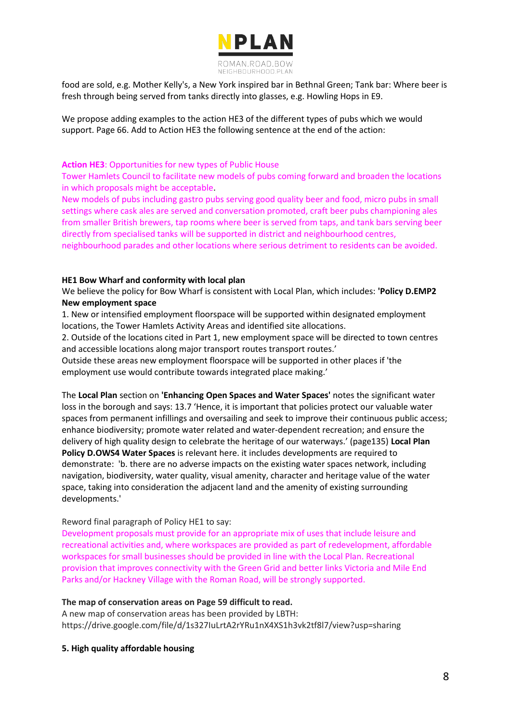

food are sold, e.g. Mother Kelly's, a New York inspired bar in Bethnal Green; Tank bar: Where beer is fresh through being served from tanks directly into glasses, e.g. Howling Hops in E9.

We propose adding examples to the action HE3 of the different types of pubs which we would support. Page 66. Add to Action HE3 the following sentence at the end of the action:

#### **Action HE3**: Opportunities for new types of Public House

Tower Hamlets Council to facilitate new models of pubs coming forward and broaden the locations in which proposals might be acceptable.

New models of pubs including gastro pubs serving good quality beer and food, micro pubs in small settings where cask ales are served and conversation promoted, craft beer pubs championing ales from smaller British brewers, tap rooms where beer is served from taps, and tank bars serving beer directly from specialised tanks will be supported in district and neighbourhood centres,

neighbourhood parades and other locations where serious detriment to residents can be avoided.

#### **HE1 Bow Wharf and conformity with local plan**

We believe the policy for Bow Wharf is consistent with Local Plan, which includes: **'Policy D.EMP2 New employment space**

1. New or intensified employment floorspace will be supported within designated employment locations, the Tower Hamlets Activity Areas and identified site allocations.

2. Outside of the locations cited in Part 1, new employment space will be directed to town centres and accessible locations along major transport routes transport routes.'

Outside these areas new employment floorspace will be supported in other places if 'the employment use would contribute towards integrated place making.'

The **Local Plan** section on **'Enhancing Open Spaces and Water Spaces'** notes the significant water loss in the borough and says: 13.7 'Hence, it is important that policies protect our valuable water spaces from permanent infillings and oversailing and seek to improve their continuous public access; enhance biodiversity; promote water related and water-dependent recreation; and ensure the delivery of high quality design to celebrate the heritage of our waterways.' (page135) **Local Plan Policy D.OWS4 Water Spaces** is relevant here. it includes developments are required to demonstrate: 'b. there are no adverse impacts on the existing water spaces network, including navigation, biodiversity, water quality, visual amenity, character and heritage value of the water space, taking into consideration the adjacent land and the amenity of existing surrounding developments.'

### Reword final paragraph of Policy HE1 to say:

Development proposals must provide for an appropriate mix of uses that include leisure and recreational activities and, where workspaces are provided as part of redevelopment, affordable workspaces for small businesses should be provided in line with the Local Plan. Recreational provision that improves connectivity with the Green Grid and better links Victoria and Mile End Parks and/or Hackney Village with the Roman Road, will be strongly supported.

#### **The map of conservation areas on Page 59 difficult to read.**

A new map of conservation areas has been provided by LBTH: https://drive.google.com/file/d/1s327IuLrtA2rYRu1nX4XS1h3vk2tf8l7/view?usp=sharing

#### **5. High quality affordable housing**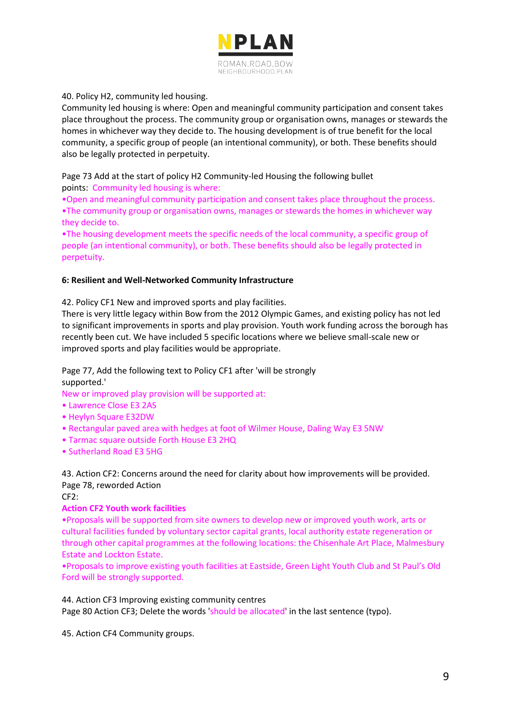

## 40. Policy H2, community led housing.

Community led housing is where: Open and meaningful community participation and consent takes place throughout the process. The community group or organisation owns, manages or stewards the homes in whichever way they decide to. The housing development is of true benefit for the local community, a specific group of people (an intentional community), or both. These benefits should also be legally protected in perpetuity.

Page 73 Add at the start of policy H2 Community-led Housing the following bullet points: Community led housing is where:

•Open and meaningful community participation and consent takes place throughout the process. •The community group or organisation owns, manages or stewards the homes in whichever way they decide to.

•The housing development meets the specific needs of the local community, a specific group of people (an intentional community), or both. These benefits should also be legally protected in perpetuity.

### **6: Resilient and Well-Networked Community Infrastructure**

42. Policy CF1 New and improved sports and play facilities.

There is very little legacy within Bow from the 2012 Olympic Games, and existing policy has not led to significant improvements in sports and play provision. Youth work funding across the borough has recently been cut. We have included 5 specific locations where we believe small-scale new or improved sports and play facilities would be appropriate.

Page 77, Add the following text to Policy CF1 after 'will be strongly supported.'

New or improved play provision will be supported at:

- Lawrence Close E3 2AS
- Heylyn Square E32DW
- Rectangular paved area with hedges at foot of Wilmer House, Daling Way E3 5NW
- Tarmac square outside Forth House E3 2HQ
- Sutherland Road E3 5HG

43. Action CF2: Concerns around the need for clarity about how improvements will be provided. Page 78, reworded Action

CF2:

### **Action CF2 Youth work facilities**

•Proposals will be supported from site owners to develop new or improved youth work, arts or cultural facilities funded by voluntary sector capital grants, local authority estate regeneration or through other capital programmes at the following locations: the Chisenhale Art Place, Malmesbury Estate and Lockton Estate.

•Proposals to improve existing youth facilities at Eastside, Green Light Youth Club and St Paul's Old Ford will be strongly supported.

44. Action CF3 Improving existing community centres

Page 80 Action CF3; Delete the words 'should be allocated' in the last sentence (typo).

45. Action CF4 Community groups.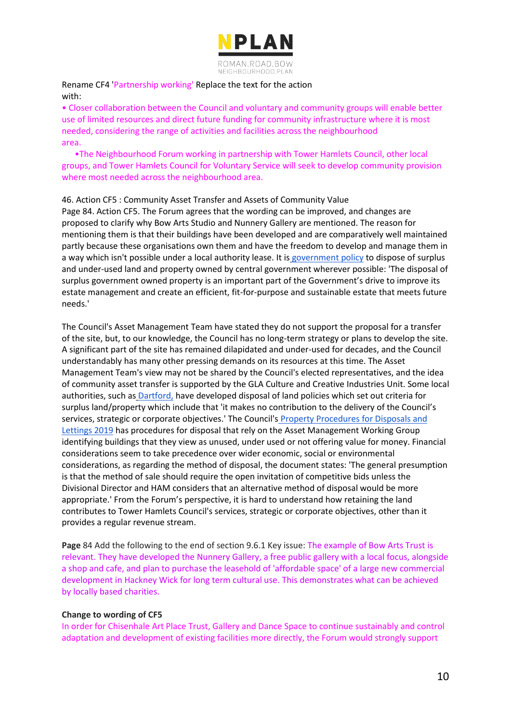

Rename CF4 'Partnership working' Replace the text for the action with:

• Closer collaboration between the Council and voluntary and community groups will enable better use of limited resources and direct future funding for community infrastructure where it is most needed, considering the range of activities and facilities across the neighbourhood area.

 •The Neighbourhood Forum working in partnership with Tower Hamlets Council, other local groups, and Tower Hamlets Council for Voluntary Service will seek to develop community provision where most needed across the neighbourhood area.

### 46. Action CF5 : Community Asset Transfer and Assets of Community Value

Page 84. Action CF5. The Forum agrees that the wording can be improved, and changes are proposed to clarify why Bow Arts Studio and Nunnery Gallery are mentioned. The reason for mentioning them is that their buildings have been developed and are comparatively well maintained partly because these organisations own them and have the freedom to develop and manage them in a way which i[s](https://assets.publishing.service.gov.uk/government/uploads/system/uploads/attachment_data/file/599778/Guide_for_the_Disposal_of_Surplus_Land.pdf)n't possible under a local authority lease. It is [government policy](https://assets.publishing.service.gov.uk/government/uploads/system/uploads/attachment_data/file/599778/Guide_for_the_Disposal_of_Surplus_Land.pdf) to dispose of surplus and under-used land and property owned by central government wherever possible: 'The disposal of surplus government owned property is an important part of the Government's drive to improve its estate management and create an efficient, fit-for-purpose and sustainable estate that meets future needs.'

The Council's Asset Management Team have stated they do not support the proposal for a transfer of the site, but, to our knowledge, the Council has no long-term strategy or plans to develop the site. A significant part of the site has remained dilapidated and under-used for decades, and the Council understandably has many other pressing demands on its resources at this time. The Asset Management Team's view may not be shared by the Council's elected representatives, and the idea of community asset transfer is supported by the GLA Culture and Creative Industries Unit. Some local authorities, such a[s](https://www.dartford.gov.uk/downloads/file/803/disposal-of-land-policy) [Dartford,](https://www.dartford.gov.uk/downloads/file/803/disposal-of-land-policy) have developed disposal of land policies which set out criteria for surplus land/property which include that 'it makes no contribution to the delivery of the Council's services, strategic or corporate objectives.' The Council's [Property Procedures for Disposals and](https://democracy.towerhamlets.gov.uk/documents/s152858/6.9a%20Appendix%201%20-%20Property%20Procedures%20for%20Disposals%20and%20Lettings.pdf)  [Lettings 2019](https://democracy.towerhamlets.gov.uk/documents/s152858/6.9a%20Appendix%201%20-%20Property%20Procedures%20for%20Disposals%20and%20Lettings.pdf) has procedures for disposal that rely on the Asset Management Working Group identifying buildings that they view as unused, under used or not offering value for money. Financial considerations seem to take precedence over wider economic, social or environmental considerations, as regarding the method of disposal, the document states: 'The general presumption is that the method of sale should require the open invitation of competitive bids unless the Divisional Director and HAM considers that an alternative method of disposal would be more appropriate.' From the Forum's perspective, it is hard to understand how retaining the land contributes to Tower Hamlets Council's services, strategic or corporate objectives, other than it provides a regular revenue stream.

**Page** 84 Add the following to the end of section 9.6.1 Key issue: The example of Bow Arts Trust is relevant. They have developed the Nunnery Gallery, a free public gallery with a local focus, alongside a shop and cafe, and plan to purchase the leasehold of 'affordable space' of a large new commercial development in Hackney Wick for long term cultural use. This demonstrates what can be achieved by locally based charities.

### **Change to wording of CF5**

In order for Chisenhale Art Place Trust, Gallery and Dance Space to continue sustainably and control adaptation and development of existing facilities more directly, the Forum would strongly support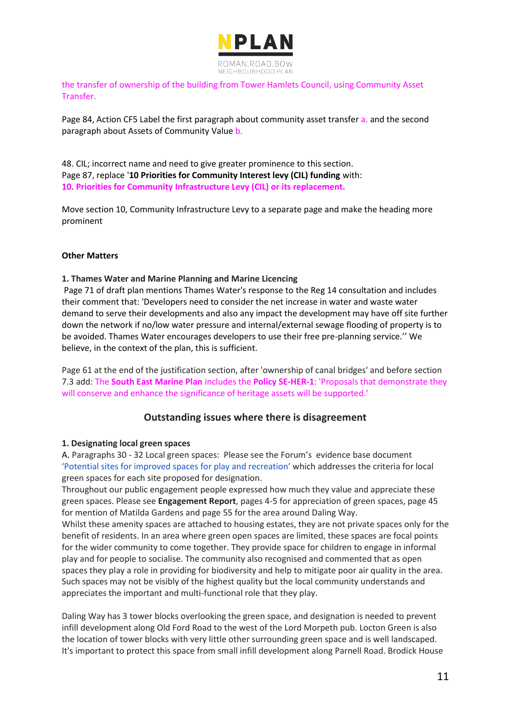

the transfer of ownership of the building from Tower Hamlets Council, using Community Asset Transfer.

Page 84, Action CF5 Label the first paragraph about community asset transfer a. and the second paragraph about Assets of Community Value b.

48. CIL; incorrect name and need to give greater prominence to this section. Page 87, replace '**10 Priorities for Community Interest levy (CIL) funding** with: **10. Priorities for Community Infrastructure Levy (CIL) or its replacement.** 

Move section 10, Community Infrastructure Levy to a separate page and make the heading more prominent

### **Other Matters**

**1. Thames Water and Marine Planning and Marine Licencing**

Page 71 of draft plan mentions Thames Water's response to the Reg 14 consultation and includes their comment that: 'Developers need to consider the net increase in water and waste water demand to serve their developments and also any impact the development may have off site further down the network if no/low water pressure and internal/external sewage flooding of property is to be avoided. Thames Water encourages developers to use their free pre-planning service.'' We believe, in the context of the plan, this is sufficient.

Page 61 at the end of the justification section, after 'ownership of canal bridges' and before section 7.3 add: The **South East Marine Plan** includes the **Policy SE-HER-1**: 'Proposals that demonstrate they will conserve and enhance the significance of heritage assets will be supported.'

## **Outstanding issues where there is disagreement**

#### **1. Designating local green spaces**

A. Paragraphs 30 - 32 Local green spaces: Please see the Forum's evidence base document ['Potential sites for improved spaces for play and recreation'](http://romanroadbowneighbourhoodplan.org/wp-content/uploads/2021/03/Play-recreation-potential-spaces-for-improvement-web.pdf) which addresses the criteria for local green spaces for each site proposed for designation.

Throughout our public engagement people expressed how much they value and appreciate these green spaces. Please see **Engagement Report**, pages 4-5 for appreciation of green spaces, page 45 for mention of Matilda Gardens and page 55 for the area around Daling Way.

Whilst these amenity spaces are attached to housing estates, they are not private spaces only for the benefit of residents. In an area where green open spaces are limited, these spaces are focal points for the wider community to come together. They provide space for children to engage in informal play and for people to socialise. The community also recognised and commented that as open spaces they play a role in providing for biodiversity and help to mitigate poor air quality in the area. Such spaces may not be visibly of the highest quality but the local community understands and appreciates the important and multi-functional role that they play.

Daling Way has 3 tower blocks overlooking the green space, and designation is needed to prevent infill development along Old Ford Road to the west of the Lord Morpeth pub. Locton Green is also the location of tower blocks with very little other surrounding green space and is well landscaped. It's important to protect this space from small infill development along Parnell Road. Brodick House